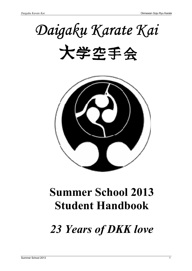# *Daigaku Karate Kai*





## **Summer School 2013 Student Handbook**

*23 Years of DKK love*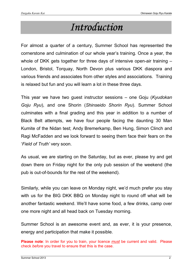### *Introduction*

For almost a quarter of a century, Summer School has represented the cornerstone and culmination of our whole year's training. Once a year, the whole of DKK gets together for three days of intensive open-air training -London, Bristol, Torquay, North Devon plus various DKK diaspora and various friends and associates from other styles and associations. Training is relaxed but fun and you will learn a lot in these three days.

Ragi McFadden and we look forward to seeing them face their fears on the This year we have two guest instructor sessions – one Goju (*Kyudokan Goju Ryu*), and one Shorin (*Shinseido Shorin Ryu*). Summer School culminates with a final grading and this year in addition to a number of Black Belt attempts, we have four people facing the daunting 30 Man Kumite of the Nidan test; Andy Bremerkamp, Ben Hung, Simon Clinch and '*Field of Truth'* very soon.

As usual, we are starting on the Saturday, but as ever, please try and get down there on Friday night for the only pub session of the weekend (the pub is out-of-bounds for the rest of the weekend).

Similarly, while you can leave on Monday night, we'd much prefer you stay with us for the BIG DKK BBQ on Monday night to round off what will be another fantastic weekend. We'll have some food, a few drinks, camp over one more night and all head back on Tuesday morning.

Summer School is an awesome event and, as ever, it is your presence, energy and participation that make it possible.

**Please note**: In order for you to train, your licence *must* be current and valid. Please check *before* you travel to ensure that this is the case.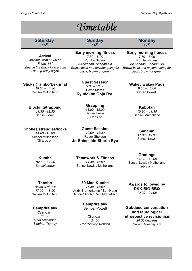| Timetable                                                                                                                  |                                                                                                                                                      |                                                                                                                                                      |  |  |
|----------------------------------------------------------------------------------------------------------------------------|------------------------------------------------------------------------------------------------------------------------------------------------------|------------------------------------------------------------------------------------------------------------------------------------------------------|--|--|
| <b>Saturday</b><br>15 <sup>th</sup>                                                                                        | <b>Sunday</b><br>16 <sup>th</sup>                                                                                                                    | <b>Monday</b><br>17 <sup>th</sup>                                                                                                                    |  |  |
| <b>Arrival</b><br>Anytime from 16:00 on<br>Friday 14 <sup>th</sup><br>Meet in the Black Horse from<br>20:30 (Friday night) | <b>Early morning fitness</b><br>$7:30 - 8:00$<br>Run by Nidans<br>All Shodan, Shodan-Ho<br>Brown belts and anyone going for<br>black, brown or green | <b>Early morning fitness</b><br>$7:30 - 8:00$<br>Run by Nidans<br>All Shodan, Shodan-Ho<br>Brown belts and anyone going for<br>black, brown or green |  |  |
| <b>Sticks (Tambo/Eskrima)</b><br>$10:00 - 11:30$<br>Sensei Mulholland                                                      | <b>Guest Session</b><br>$9:00 - 10:30$<br>David Morris<br>Kyudokan Goju Ryu                                                                          | <b>Wakey wakey Pads</b><br>$9:00 - 10:00$<br><b>Goran Powell</b>                                                                                     |  |  |
| <b>Blocking/trapping</b><br>$11:30 - 12:30$<br>Sensei Lewis                                                                | <b>Grappling</b><br>$11.00 - 12.00$<br>Sensei Lewis<br>(Gi tops on)                                                                                  | <b>Kubotan</b><br>$10:30 - 11:30$<br>Sensei Mulholland                                                                                               |  |  |
| <b>Chokes/strangles/locks</b><br>14:00 - 15:00<br>Sensei Mulholland<br>(Gi tops on)                                        | <b>Guest Session</b><br>12:00 - 13:30<br>Roger Sheldon<br>Jo-Shinseido Shorin Ryu                                                                    | <b>Sanchin</b><br>11:30 - 13:00<br>Sensei Lewis                                                                                                      |  |  |
| <b>Kumite</b><br>$16:00 - 17:00$<br>Sensei Lewis                                                                           | <b>Teamwork &amp; Fitness</b><br>14:30 - 16:00<br>Sensei Lewis / Mulholland                                                                          | <b>Gradings</b><br>$14:30 - 18.00$<br>Sensei Lewis / Mulholland<br>(Gis on)                                                                          |  |  |
| <b>Tensho</b><br>Nidan & above<br>$17:00 - 18:00$<br>Sensei Mulholland                                                     | <b>30 Man Kumite</b><br>16:30 - 18:00<br>Andy Bremerkamp / Ben Hung<br>Simon Clinch / Ragi McFadden                                                  | <b>Awards followed by</b><br><b>DKK BIG BBQ</b><br>$19:00 - 24:00$                                                                                   |  |  |
| <b>Campfire talk</b><br>(Sandan)<br>21:00<br><b>Mark Salomone</b><br>Siobhan Tierney                                       | <b>Campfire talk</b><br>Sempai Powell<br>(Sandan)<br>21:00<br>Rob 'Smiley' Newton                                                                    | <b>Subdued conversation</b><br>and tautological<br>retrospective revisionism<br>24:00 onwards<br>Depart Tuesday am                                   |  |  |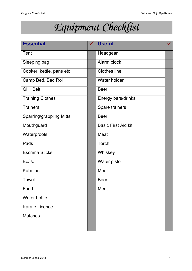## *Equipment Checklist Checklist*

| <b>Essential</b>                | <b>Useful</b>              |  |
|---------------------------------|----------------------------|--|
| <b>Tent</b>                     | Headgear                   |  |
| Sleeping bag                    | Alarm clock                |  |
| Cooker, kettle, pans etc        | <b>Clothes line</b>        |  |
| Camp Bed, Bed Roll              | Water holder               |  |
| Gi + Belt                       | <b>Beer</b>                |  |
| <b>Training Clothes</b>         | Energy bars/drinks         |  |
| <b>Trainers</b>                 | Spare trainers             |  |
| <b>Sparring/grappling Mitts</b> | <b>Beer</b>                |  |
| Mouthguard                      | <b>Basic First Aid kit</b> |  |
| Waterproofs                     | Meat                       |  |
| Pads                            | Torch                      |  |
| <b>Escrima Sticks</b>           | Whiskey                    |  |
| Bo/Jo                           | Water pistol               |  |
| Kubotan                         | Meat                       |  |
| <b>Towel</b>                    | <b>Beer</b>                |  |
| Food                            | Meat                       |  |
| Water bottle                    |                            |  |
| <b>Karate Licence</b>           |                            |  |
| <b>Matches</b>                  |                            |  |
|                                 |                            |  |